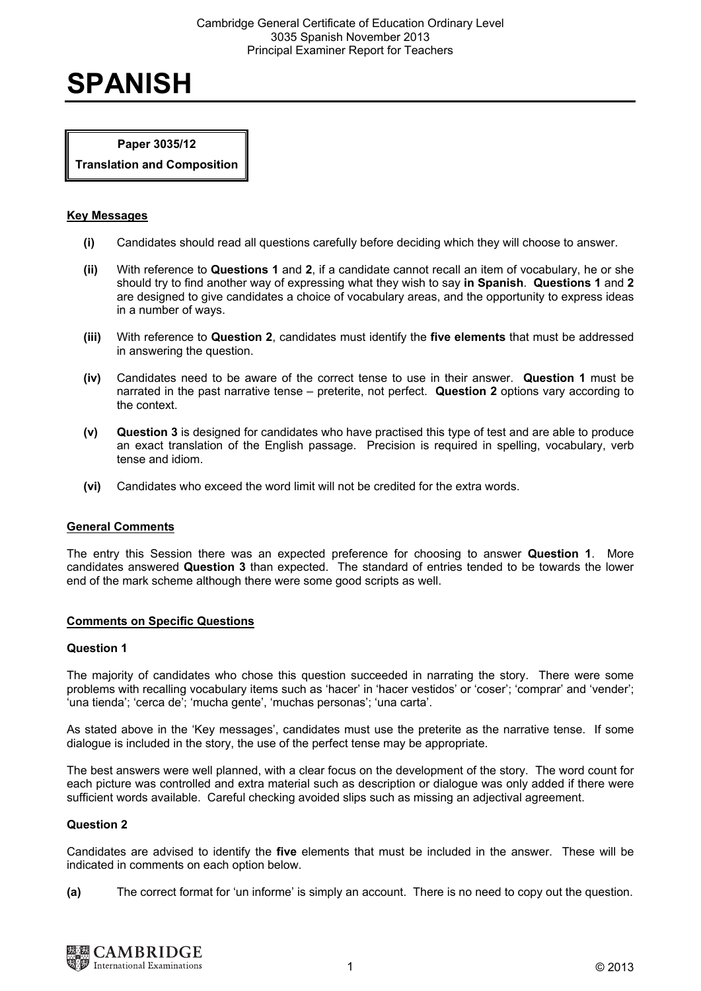# **SPANISH**

# **Paper 3035/12**

**Translation and Composition** 

# **Key Messages**

- **(i)** Candidates should read all questions carefully before deciding which they will choose to answer.
- **(ii)** With reference to **Questions 1** and **2**, if a candidate cannot recall an item of vocabulary, he or she should try to find another way of expressing what they wish to say **in Spanish**. **Questions 1** and **2** are designed to give candidates a choice of vocabulary areas, and the opportunity to express ideas in a number of ways.
- **(iii)** With reference to **Question 2**, candidates must identify the **five elements** that must be addressed in answering the question.
- **(iv)** Candidates need to be aware of the correct tense to use in their answer. **Question 1** must be narrated in the past narrative tense – preterite, not perfect. **Question 2** options vary according to the context.
- **(v) Question 3** is designed for candidates who have practised this type of test and are able to produce an exact translation of the English passage. Precision is required in spelling, vocabulary, verb tense and idiom.
- **(vi)** Candidates who exceed the word limit will not be credited for the extra words.

# **General Comments**

The entry this Session there was an expected preference for choosing to answer **Question 1**. More candidates answered **Question 3** than expected. The standard of entries tended to be towards the lower end of the mark scheme although there were some good scripts as well.

#### **Comments on Specific Questions**

#### **Question 1**

The majority of candidates who chose this question succeeded in narrating the story. There were some problems with recalling vocabulary items such as 'hacer' in 'hacer vestidos' or 'coser'; 'comprar' and 'vender'; 'una tienda'; 'cerca de'; 'mucha gente', 'muchas personas'; 'una carta'.

As stated above in the 'Key messages', candidates must use the preterite as the narrative tense. If some dialogue is included in the story, the use of the perfect tense may be appropriate.

The best answers were well planned, with a clear focus on the development of the story. The word count for each picture was controlled and extra material such as description or dialogue was only added if there were sufficient words available. Careful checking avoided slips such as missing an adjectival agreement.

# **Question 2**

Candidates are advised to identify the **five** elements that must be included in the answer. These will be indicated in comments on each option below.

**(a)** The correct format for 'un informe' is simply an account. There is no need to copy out the question.

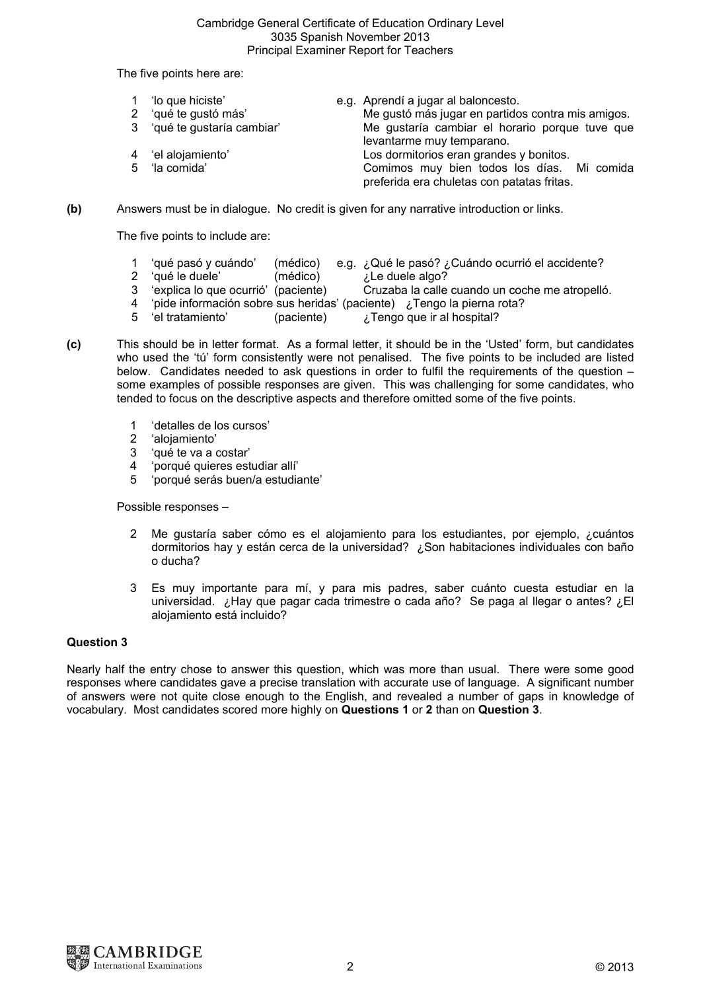#### Cambridge General Certificate of Education Ordinary Level 3035 Spanish November 2013 Principal Examiner Report for Teachers

The five points here are:

| 1 'lo que hiciste'          | e.g. Aprendí a jugar al baloncesto.                                                      |
|-----------------------------|------------------------------------------------------------------------------------------|
| 2 'qué te gustó más'        | Me gustó más jugar en partidos contra mis amigos.                                        |
| 3 'qué te gustaría cambiar' | Me gustaría cambiar el horario porque tuve que<br>levantarme muy temparano.              |
| 4 'el alojamiento'          | Los dormitorios eran grandes y bonitos.                                                  |
| 5 'la comida'               | Comimos muy bien todos los días. Mi comida<br>preferida era chuletas con patatas fritas. |

**(b)** Answers must be in dialogue. No credit is given for any narrative introduction or links.

The five points to include are:

- 1 'qué pasó y cuándo' (médico) e.g. ¿Qué le pasó? ¿Cuándo ocurrió el accidente?
	-
- <sup>2</sup> 'qué le duele' (médico)<br>
<sup>2</sup> 'explica lo que ocurrió' (paciente) Cruzaba la calle 3 'explica lo que ocurrió' (paciente) Cruzaba la calle cuando un coche me atropelló.
- 4 'pide información sobre sus heridas' (paciente) ¿Tengo la pierna rota?
- 5 'el tratamiento' (paciente) ¿Tengo que ir al hospital?
- **(c)** This should be in letter format. As a formal letter, it should be in the 'Usted' form, but candidates who used the 'tú' form consistently were not penalised. The five points to be included are listed below. Candidates needed to ask questions in order to fulfil the requirements of the question – some examples of possible responses are given. This was challenging for some candidates, who tended to focus on the descriptive aspects and therefore omitted some of the five points.
	- 1 'detalles de los cursos'
	- 2 'alojamiento'
	- 3 'qué te va a costar'
	- 4 'porqué quieres estudiar allí'
	- 5 'porqué serás buen/a estudiante'

Possible responses –

- 2 Me gustaría saber cómo es el alojamiento para los estudiantes, por ejemplo, ¿cuántos dormitorios hay y están cerca de la universidad? ¿Son habitaciones individuales con baño o ducha?
- 3 Es muy importante para mí, y para mis padres, saber cuánto cuesta estudiar en la universidad. ¿Hay que pagar cada trimestre o cada año? Se paga al llegar o antes? ¿El alojamiento está incluido?

### **Question 3**

Nearly half the entry chose to answer this question, which was more than usual. There were some good responses where candidates gave a precise translation with accurate use of language. A significant number of answers were not quite close enough to the English, and revealed a number of gaps in knowledge of vocabulary. Most candidates scored more highly on **Questions 1** or **2** than on **Question 3**.

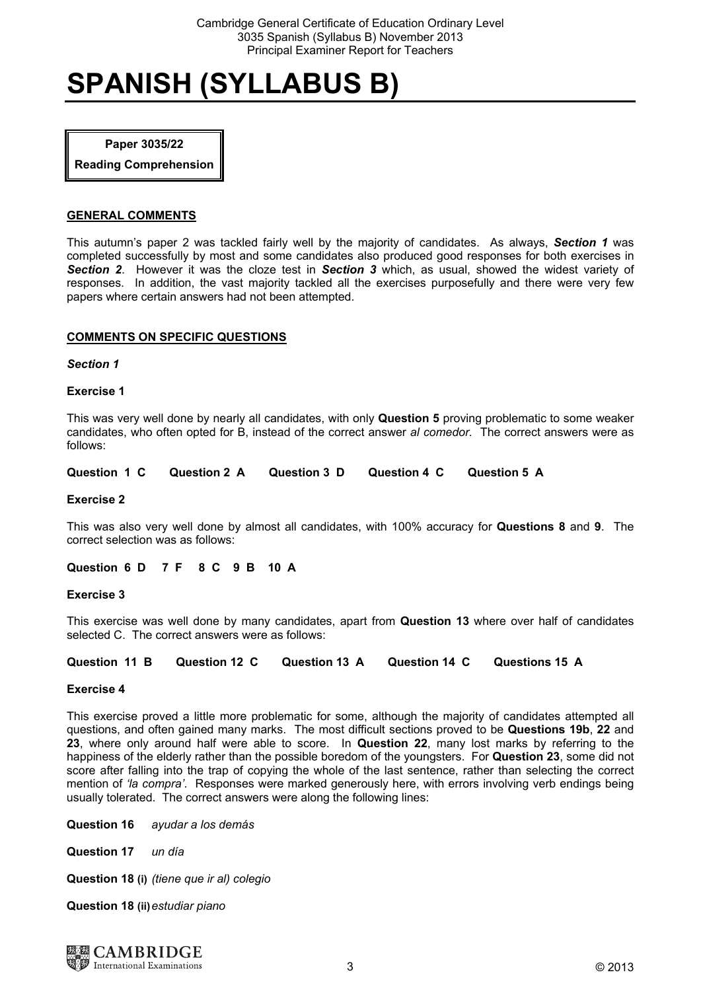# **SPANISH (SYLLABUS B)**

# **Paper 3035/22**

**Reading Comprehension**

# **GENERAL COMMENTS**

This autumn's paper 2 was tackled fairly well by the majority of candidates. As always, *Section 1* was completed successfully by most and some candidates also produced good responses for both exercises in *Section 2*. However it was the cloze test in *Section 3* which, as usual, showed the widest variety of responses. In addition, the vast majority tackled all the exercises purposefully and there were very few papers where certain answers had not been attempted.

# **COMMENTS ON SPECIFIC QUESTIONS**

#### *Section 1*

# **Exercise 1**

This was very well done by nearly all candidates, with only **Question 5** proving problematic to some weaker candidates, who often opted for B, instead of the correct answer *al comedor.* The correct answers were as follows:

# **Question 1 C Question 2 A Question 3 D Question 4 C Question 5 A**

#### **Exercise 2**

This was also very well done by almost all candidates, with 100% accuracy for **Questions 8** and **9**. The correct selection was as follows:

#### **Question 6 D 7 F 8 C 9 B 10 A**

#### **Exercise 3**

This exercise was well done by many candidates, apart from **Question 13** where over half of candidates selected C. The correct answers were as follows:

# **Question 11 B Question 12 C Question 13 A Question 14 C Questions 15 A**

#### **Exercise 4**

This exercise proved a little more problematic for some, although the majority of candidates attempted all questions, and often gained many marks. The most difficult sections proved to be **Questions 19b**, **22** and **23**, where only around half were able to score. In **Question 22**, many lost marks by referring to the happiness of the elderly rather than the possible boredom of the youngsters. For **Question 23**, some did not score after falling into the trap of copying the whole of the last sentence, rather than selecting the correct mention of *'la compra'*. Responses were marked generously here, with errors involving verb endings being usually tolerated. The correct answers were along the following lines:

**Question 16** *ayudar a los demás* 

**Question 17** *un día* 

**Question 18 (i)** *(tiene que ir al) colegio* 

**Question 18 (ii)***estudiar piano*

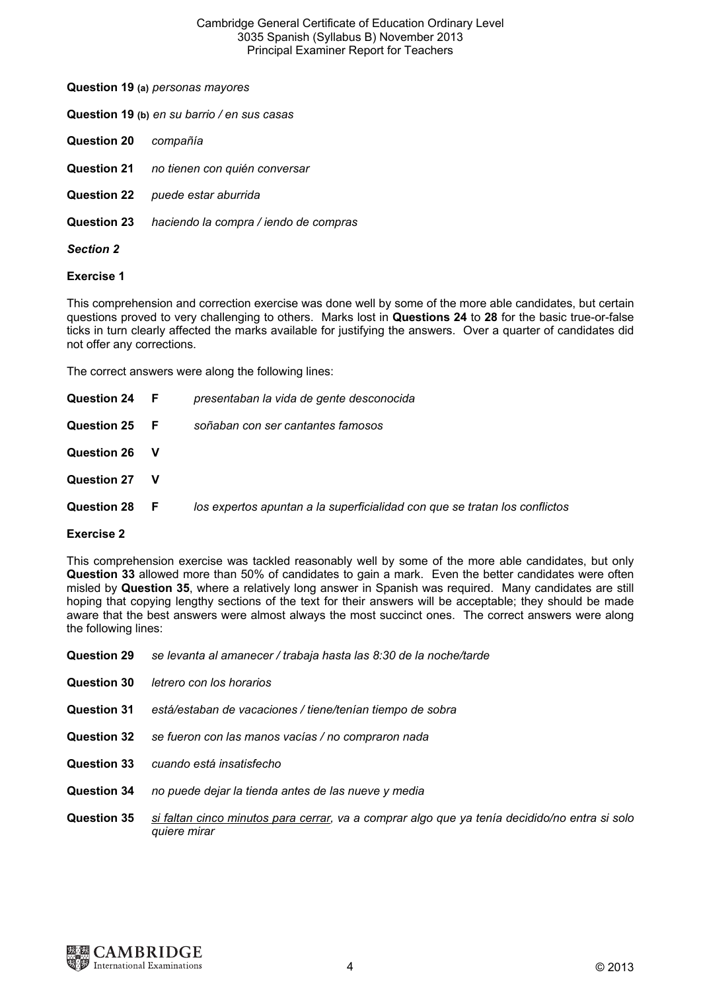#### Cambridge General Certificate of Education Ordinary Level 3035 Spanish (Syllabus B) November 2013 Principal Examiner Report for Teachers

**Question 19 (b)** *en su barrio / en sus casas*

- **Question 20** *compañía*
- **Question 21** *no tienen con quién conversar*
- **Question 22** *puede estar aburrida*
- **Question 23** *haciendo la compra / iendo de compras*
- *Section 2*

#### **Exercise 1**

This comprehension and correction exercise was done well by some of the more able candidates, but certain questions proved to very challenging to others. Marks lost in **Questions 24** to **28** for the basic true-or-false ticks in turn clearly affected the marks available for justifying the answers. Over a quarter of candidates did not offer any corrections.

The correct answers were along the following lines:

| Question 24 F      |             | presentaban la vida de gente desconocida                                   |
|--------------------|-------------|----------------------------------------------------------------------------|
| <b>Question 25</b> | - F         | soñaban con ser cantantes famosos                                          |
| <b>Question 26</b> | $\mathbf v$ |                                                                            |
| <b>Question 27</b> |             |                                                                            |
| Question 28        | - F         | los expertos apuntan a la superficialidad con que se tratan los conflictos |
|                    |             |                                                                            |

# **Exercise 2**

This comprehension exercise was tackled reasonably well by some of the more able candidates, but only **Question 33** allowed more than 50% of candidates to gain a mark. Even the better candidates were often misled by **Question 35**, where a relatively long answer in Spanish was required. Many candidates are still hoping that copying lengthy sections of the text for their answers will be acceptable; they should be made aware that the best answers were almost always the most succinct ones. The correct answers were along the following lines:

**Question 29** *se levanta al amanecer / trabaja hasta las 8:30 de la noche/tarde* **Question 30** *letrero con los horarios* **Question 31** *está/estaban de vacaciones / tiene/tenían tiempo de sobra* **Question 32** *se fueron con las manos vacías / no compraron nada*  **Question 33** *cuando está insatisfecho*  **Question 34** *no puede dejar la tienda antes de las nueve y media*  **Question 35** *si faltan cinco minutos para cerrar, va a comprar algo que ya tenía decidido/no entra si solo quiere mirar*